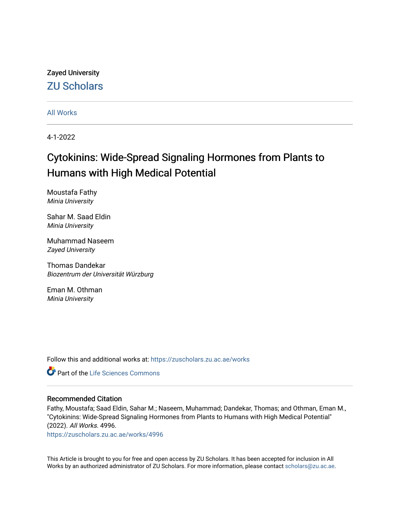## Zayed University [ZU Scholars](https://zuscholars.zu.ac.ae/)

[All Works](https://zuscholars.zu.ac.ae/works)

4-1-2022

# Cytokinins: Wide-Spread Signaling Hormones from Plants to Humans with High Medical Potential

Moustafa Fathy Minia University

Sahar M. Saad Eldin Minia University

Muhammad Naseem Zayed University

Thomas Dandekar Biozentrum der Universität Würzburg

Eman M. Othman Minia University

Follow this and additional works at: [https://zuscholars.zu.ac.ae/works](https://zuscholars.zu.ac.ae/works?utm_source=zuscholars.zu.ac.ae%2Fworks%2F4996&utm_medium=PDF&utm_campaign=PDFCoverPages)



### Recommended Citation

Fathy, Moustafa; Saad Eldin, Sahar M.; Naseem, Muhammad; Dandekar, Thomas; and Othman, Eman M., "Cytokinins: Wide-Spread Signaling Hormones from Plants to Humans with High Medical Potential" (2022). All Works. 4996.

[https://zuscholars.zu.ac.ae/works/4996](https://zuscholars.zu.ac.ae/works/4996?utm_source=zuscholars.zu.ac.ae%2Fworks%2F4996&utm_medium=PDF&utm_campaign=PDFCoverPages)

This Article is brought to you for free and open access by ZU Scholars. It has been accepted for inclusion in All Works by an authorized administrator of ZU Scholars. For more information, please contact [scholars@zu.ac.ae](mailto:scholars@zu.ac.ae).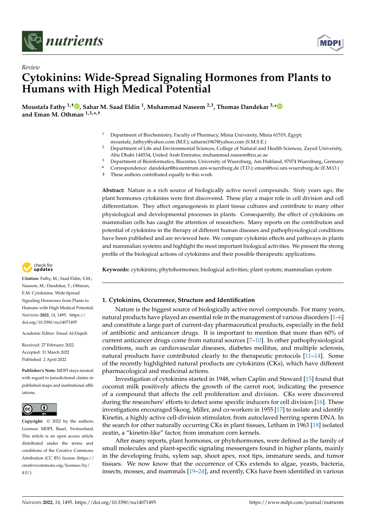

*Review*



# **Cytokinins: Wide-Spread Signaling Hormones from Plants to Humans with High Medical Potential**

**Moustafa Fathy 1,† [,](https://orcid.org/0000-0002-0734-5007) Sahar M. Saad Eldin <sup>1</sup> , Muhammad Naseem 2,3, Thomas Dandekar 3,[\\*](https://orcid.org/0000-0003-1886-7625) and Eman M. Othman 1,3,\* ,†**

- <sup>1</sup> Department of Biochemistry, Faculty of Pharmacy, Minia University, Minia 61519, Egypt; moustafa\_fathyy@yahoo.com (M.F.); saharm1967@yahoo.com (S.M.S.E.)
- <sup>2</sup> Department of Life and Environmental Sciences, College of Natural and Health Sciences, Zayed University, Abu Dhabi 144534, United Arab Emirates; muhammad.naseem@zu.ac.ae
- <sup>3</sup> Department of Bioinformatics, Biocenter, University of Wuerzburg, Am Hubland, 97074 Wuerzburg, Germany
- **\*** Correspondence: dandekar@biozentrum.uni-wuerzburg.de (T.D.); eman@toxi.uni-wuerzburg.de (E.M.O.)
- † These authors contributed equally to this work.

**Abstract:** Nature is a rich source of biologically active novel compounds. Sixty years ago, the plant hormones cytokinins were first discovered. These play a major role in cell division and cell differentiation. They affect organogenesis in plant tissue cultures and contribute to many other physiological and developmental processes in plants. Consequently, the effect of cytokinins on mammalian cells has caught the attention of researchers. Many reports on the contribution and potential of cytokinins in the therapy of different human diseases and pathophysiological conditions have been published and are reviewed here. We compare cytokinin effects and pathways in plants and mammalian systems and highlight the most important biological activities. We present the strong profile of the biological actions of cytokinins and their possible therapeutic applications.

**Keywords:** cytokinins; phytohormones; biological activities; plant system; mammalian system



**Citation:** Fathy, M.; Saad Eldin, S.M.; Naseem, M.; Dandekar, T.; Othman, E.M. Cytokinins: Wide-Spread Signaling Hormones from Plants to Humans with High Medical Potential. *Nutrients* **2022**, *14*, 1495. [https://](https://doi.org/10.3390/nu14071495) [doi.org/10.3390/nu14071495](https://doi.org/10.3390/nu14071495)

Academic Editor: Emad Al-Dujaili

Received: 27 February 2022 Accepted: 31 March 2022 Published: 2 April 2022

**Publisher's Note:** MDPI stays neutral with regard to jurisdictional claims in published maps and institutional affiliations.



**Copyright:** © 2022 by the authors. Licensee MDPI, Basel, Switzerland. This article is an open access article distributed under the terms and conditions of the Creative Commons Attribution (CC BY) license [\(https://](https://creativecommons.org/licenses/by/4.0/) [creativecommons.org/licenses/by/](https://creativecommons.org/licenses/by/4.0/)  $4.0/$ ).

### **1. Cytokinins, Occurrence, Structure and Identification**

Nature is the biggest source of biologically active novel compounds. For many years, natural products have played an essential role in the management of various disorders [\[1–](#page-10-0)[6\]](#page-10-1) and constitute a large part of current-day pharmaceutical products, especially in the field of antibiotic and anticancer drugs. It is important to mention that more than 60% of current anticancer drugs come from natural sources [\[7](#page-10-2)[–10\]](#page-10-3). In other pathophysiological conditions, such as cardiovascular diseases, diabetes mellitus, and multiple sclerosis, natural products have contributed clearly to the therapeutic protocols [\[11–](#page-10-4)[14\]](#page-10-5). Some of the recently highlighted natural products are cytokinins (CKs), which have different pharmacological and medicinal actions.

Investigation of cytokinins started in 1948, when Caplin and Steward [\[15\]](#page-10-6) found that coconut milk positively affects the growth of the carrot root, indicating the presence of a compound that affects the cell proliferation and division. CKs were discovered during the researchers' efforts to detect some specific inducers for cell division [\[16\]](#page-10-7). These investigations encouraged Skoog, Miller, and co-workers in 1955 [\[17\]](#page-10-8) to isolate and identify Kinetin, a highly active cell-division stimulator, from autoclaved herring sperm DNA. In the search for other naturally occurring CKs in plant tissues, Letham in 1963 [\[18\]](#page-10-9) isolated zeatin, a "kinetin-like" factor, from immature corn kernels.

After many reports, plant hormones, or phytohormones, were defined as the family of small molecules and plant-specific signaling messengers found in higher plants, mainly in the developing fruits, xylem sap, shoot apex, root tips, immature seeds, and tumor tissues. We now know that the occurrence of CKs extends to algae, yeasts, bacteria, insects, mosses, and mammals [\[19–](#page-10-10)[24\]](#page-11-0), and recently, CKs have been identified in various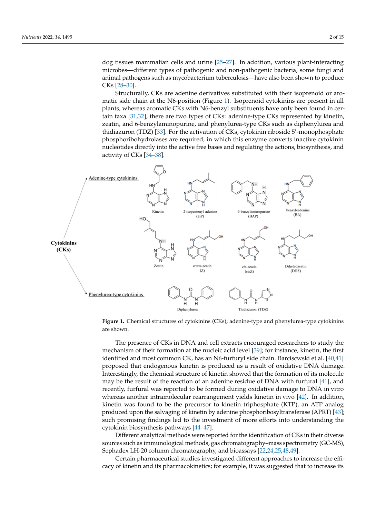dog tissues mammalian cells and urine [\[25–](#page-11-1)[27\]](#page-11-2). In addition, various plant-interacting microbes—different types of pathogenic and non-pathogenic bacteria, some fungi and animal pathogens such as mycobacterium tuberculosis—have also been shown to produce CKs [28–30].  $CKs$  [28-30].

Structurally, CKs are adenine derivatives substituted with their isoprenoid or aro-plants, whereas aromatic CKs with N6-benzyl substituents have only been found in cermatic side chain at the N6-position (Figure [1\)](#page-2-0). Isoprenoid cytokinins are present in all mate side enant at the ive-position (right 1). Isopienoid cytoxinins are present in an plants, whereas aromatic CKs with N6-benzyl substituents have only been found in cer-tain taxa [\[31](#page-11-5)[,32\]](#page-11-6), there are two types of CKs: adenine-type CKs represented by kinetin, zeatin, and 6-benzylaminopurine, and phenylurea-type CKs such as diphenylurea and thidiazuron (TDZ) [\[33\]](#page-11-7). For the activation of CKs, cytokinin riboside 5'-monophosphate phosphoribohydrolases are required, in which this enzyme converts inactive cytokinin<br>nucleotides directly into the active free bases and regulating the actions, biosynthesis, and nucleotides directly into the active free bases and regulating the actions, biosynthesis, and activity of CKs [\[34](#page-11-8)[–38\]](#page-11-9). activity of CKs [34–38].

<span id="page-2-0"></span>

**Figure 1.** Chemical structures of cytokinins (CKs); adenine-type and phenylurea-type cytokinins are shown.

mechanism of their formation at the nucleic acid level [39]; for instance, kinetin, the first identified and most common CK, has an N6-furfuryl side chain. Barciscwski et al. [40[,41\]](#page-11-12) proposed that endogenous kinetin is produced as a result of oxidative DNA damage. meresurity, the chemical structure of Kinetin showed that the formation of its inotective may be the result of the reaction of an adenine residue of DNA with furfural [\[41\]](#page-11-12), and recently, furfural was reported to be formed during oxidative damage to DNA in vitro whereas another intramolecular rearrangement yields kinetin in vivo [42]. In addition, kinetin was found to be the precursor to kinetin triphosphate (KTP), an ATP analog produced upon the salvaging of kinetin by adenine phosphoribosyltransferase (APRT) [\[43\]](#page-11-14);<br>cyclo graduation, finalings lad to the investment of mage offerts into understanding the kinetin premiesing main.go to a lot investment of the energy material and analog pro-The presence of CKs in DNA and cell extracts encouraged researchers to study the Interestingly, the chemical structure of kinetin showed that the formation of its molecule such promising findings led to the investment of more efforts into understanding the

Different analytical methods were reported for the identification of CKs in their diverse sources such as immunological methods, gas chromatography–mass spectrometry (GC-MS), Sephadex LH-20 column chromatography, and bioassays [\[22](#page-10-11)[,24](#page-11-0)[,25,](#page-11-1)[48,](#page-11-17)[49\]](#page-11-18).

ECTRAIN pharmaceutical studies investigated different approaches to increase the em-<br>cacy of kinetin and its pharmacokinetics; for example, it was suggested that to increase its verse such as in munological methods, gas chromatography–mass spectrometry–mass spectrometry–mass spectrometry–mass spectrometry–mass spectrometry–mass spectrometry–mass spectrometry–mass spectrometry–mass spectrometry–ma Certain pharmaceutical studies investigated different approaches to increase the effi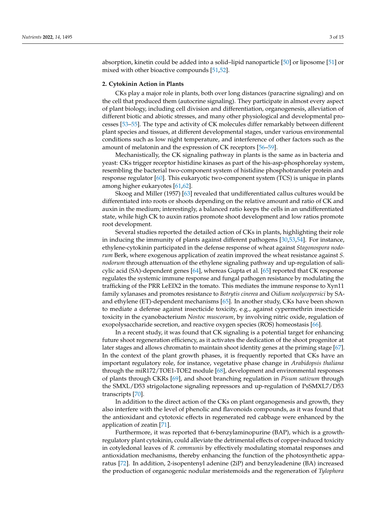absorption, kinetin could be added into a solid–lipid nanoparticle [\[50\]](#page-12-0) or liposome [\[51\]](#page-12-1) or mixed with other bioactive compounds [\[51](#page-12-1)[,52\]](#page-12-2).

#### **2. Cytokinin Action in Plants**

CKs play a major role in plants, both over long distances (paracrine signaling) and on the cell that produced them (autocrine signaling). They participate in almost every aspect of plant biology, including cell division and differentiation, organogenesis, alleviation of different biotic and abiotic stresses, and many other physiological and developmental processes [\[53–](#page-12-3)[55\]](#page-12-4). The type and activity of CK molecules differ remarkably between different plant species and tissues, at different developmental stages, under various environmental conditions such as low night temperature, and interference of other factors such as the amount of melatonin and the expression of CK receptors [\[56](#page-12-5)[–59\]](#page-12-6).

Mechanistically, the CK signaling pathway in plants is the same as in bacteria and yeast: CKs trigger receptor histidine kinases as part of the his-asp-phosphorelay system, resembling the bacterial two-component system of histidine phosphotransfer protein and response regulator [\[60\]](#page-12-7). This eukaryotic two-component system (TCS) is unique in plants among higher eukaryotes [\[61](#page-12-8)[,62\]](#page-12-9).

Skoog and Miller (1957) [\[63\]](#page-12-10) revealed that undifferentiated callus cultures would be differentiated into roots or shoots depending on the relative amount and ratio of CK and auxin in the medium; interestingly, a balanced ratio keeps the cells in an undifferentiated state, while high CK to auxin ratios promote shoot development and low ratios promote root development.

Several studies reported the detailed action of CKs in plants, highlighting their role in inducing the immunity of plants against different pathogens [\[30](#page-11-4)[,53](#page-12-3)[,54\]](#page-12-11). For instance, ethylene-cytokinin participated in the defense response of wheat against *Stagonospora nodorum* Berk, where exogenous application of zeatin improved the wheat resistance against *S. nodorum* through attenuation of the ethylene signaling pathway and up-regulation of salicylic acid (SA)-dependent genes [\[64\]](#page-12-12), whereas Gupta et al. [\[65\]](#page-12-13) reported that CK response regulates the systemic immune response and fungal pathogen resistance by modulating the trafficking of the PRR LeEIX2 in the tomato. This mediates the immune response to Xyn11 family xylanases and promotes resistance to *Botrytis cinerea* and *Oidium neolycopersici* by SAand ethylene (ET)-dependent mechanisms [\[65\]](#page-12-13). In another study, CKs have been shown to mediate a defense against insecticide toxicity, e.g., against cypermethrin insecticide toxicity in the cyanobacterium *Nostoc muscorum*, by involving nitric oxide, regulation of exopolysaccharide secretion, and reactive oxygen species (ROS) homeostasis [\[66\]](#page-12-14).

In a recent study, it was found that CK signaling is a potential target for enhancing future shoot regeneration efficiency, as it activates the dedication of the shoot progenitor at later stages and allows chromatin to maintain shoot identity genes at the priming stage [\[67\]](#page-12-15). In the context of the plant growth phases, it is frequently reported that CKs have an important regulatory role, for instance, vegetative phase change in *Arabidopsis thaliana* through the miR172/TOE1-TOE2 module [\[68\]](#page-12-16), development and environmental responses of plants through CKRs [\[69\]](#page-12-17), and shoot branching regulation in *Pisum sativum* through the SMXL/D53 strigolactone signaling repressors and up-regulation of PsSMXL7/D53 transcripts [\[70\]](#page-12-18).

In addition to the direct action of the CKs on plant organogenesis and growth, they also interfere with the level of phenolic and flavonoids compounds, as it was found that the antioxidant and cytotoxic effects in regenerated red cabbage were enhanced by the application of zeatin [\[71\]](#page-12-19).

Furthermore, it was reported that 6-benzylaminopurine (BAP), which is a growthregulatory plant cytokinin, could alleviate the detrimental effects of copper-induced toxicity in cotyledonal leaves of *R. communis* by effectively modulating stomatal responses and antioxidation mechanisms, thereby enhancing the function of the photosynthetic apparatus [\[72\]](#page-12-20). In addition, 2-isopentenyl adenine (2iP) and benzyleadenine (BA) increased the production of organogenic nodular meristemoids and the regeneration of *Tylophora*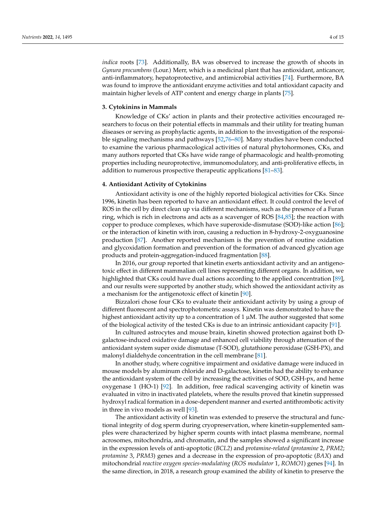*indica* roots [\[73\]](#page-12-21). Additionally, BA was observed to increase the growth of shoots in *Gynura procumbens* (Lour.) Merr, which is a medicinal plant that has antioxidant, anticancer, anti-inflammatory, hepatoprotective, and antimicrobial activities [\[74\]](#page-12-22). Furthermore, BA was found to improve the antioxidant enzyme activities and total antioxidant capacity and maintain higher levels of ATP content and energy charge in plants [\[75\]](#page-12-23).

#### **3. Cytokinins in Mammals**

Knowledge of CKs' action in plants and their protective activities encouraged researchers to focus on their potential effects in mammals and their utility for treating human diseases or serving as prophylactic agents, in addition to the investigation of the responsible signaling mechanisms and pathways [\[52,](#page-12-2)[76–](#page-12-24)[80\]](#page-13-0). Many studies have been conducted to examine the various pharmacological activities of natural phytohormones, CKs, and many authors reported that CKs have wide range of pharmacologic and health-promoting properties including neuroprotective, immunomodulatory, and anti-proliferative effects, in addition to numerous prospective therapeutic applications [\[81–](#page-13-1)[83\]](#page-13-2).

#### **4. Antioxidant Activity of Cytokinins**

Antioxidant activity is one of the highly reported biological activities for CKs. Since 1996, kinetin has been reported to have an antioxidant effect. It could control the level of ROS in the cell by direct clean up via different mechanisms, such as the presence of a Furan ring, which is rich in electrons and acts as a scavenger of ROS [\[84,](#page-13-3)[85\]](#page-13-4); the reaction with copper to produce complexes, which have superoxide-dismutase (SOD)-like action [\[86\]](#page-13-5); or the interaction of kinetin with iron, causing a reduction in 8-hydroxy-2-oxyguanosine production [\[87\]](#page-13-6). Another reported mechanism is the prevention of routine oxidation and glycoxidation formation and prevention of the formation of advanced glycation age products and protein-aggregation-induced fragmentation [\[88\]](#page-13-7).

In 2016, our group reported that kinetin exerts antioxidant activity and an antigenotoxic effect in different mammalian cell lines representing different organs. In addition, we highlighted that CKs could have dual actions according to the applied concentration [\[89\]](#page-13-8), and our results were supported by another study, which showed the antioxidant activity as a mechanism for the antigenotoxic effect of kinetin [\[90\]](#page-13-9).

Bizzalori chose four CKs to evaluate their antioxidant activity by using a group of different fluorescent and spectrophotometric assays. Kinetin was demonstrated to have the highest antioxidant activity up to a concentration of  $1 \mu M$ . The author suggested that some of the biological activity of the tested CKs is due to an intrinsic antioxidant capacity [\[91\]](#page-13-10).

In cultured astrocytes and mouse brain, kinetin showed protection against both Dgalactose-induced oxidative damage and enhanced cell viability through attenuation of the antioxidant system super oxide dismutase (T-SOD), glutathione peroxidase (GSH-PX), and malonyl dialdehyde concentration in the cell membrane [\[81\]](#page-13-1).

In another study, where cognitive impairment and oxidative damage were induced in mouse models by aluminum chloride and D-galactose, kinetin had the ability to enhance the antioxidant system of the cell by increasing the activities of SOD, GSH-px, and heme oxygenase 1 (HO-1) [\[92\]](#page-13-11). In addition, free radical scavenging activity of kinetin was evaluated in vitro in inactivated platelets, where the results proved that kinetin suppressed hydroxyl radical formation in a dose-dependent manner and exerted antithrombotic activity in three in vivo models as well [\[93\]](#page-13-12).

The antioxidant activity of kinetin was extended to preserve the structural and functional integrity of dog sperm during cryopreservation, where kinetin-supplemented samples were characterized by higher sperm counts with intact plasma membrane, normal acrosomes, mitochondria, and chromatin, and the samples showed a significant increase in the expression levels of anti-apoptotic (*BCL2*) and *protamine-related* (*protamine* 2, *PRM2*; *protamine* 3, *PRM3*) genes and a decrease in the expression of pro-apoptotic (*BAX*) and mitochondrial *reactive oxygen species-modulating* (*ROS modulator* 1, *ROMO1*) genes [\[94\]](#page-13-13). In the same direction, in 2018, a research group examined the ability of kinetin to preserve the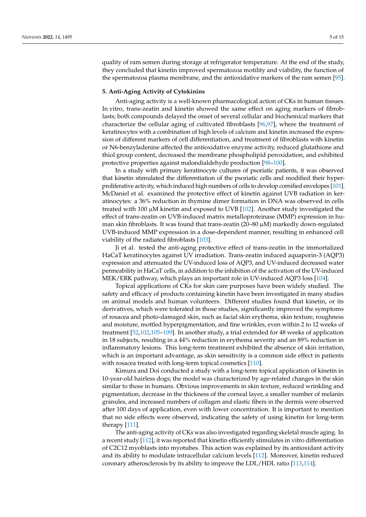quality of ram semen during storage at refrigerator temperature. At the end of the study, they concluded that kinetin improved spermatozoa motility and viability, the function of the spermatozoa plasma membrane, and the antioxidative markers of the ram semen [\[95\]](#page-13-14).

#### **5. Anti-Aging Activity of Cytokinins**

Anti-aging activity is a well-known pharmacological action of CKs in human tissues. In vitro, trans-zeatin and kinetin showed the same effect on aging markers of fibroblasts; both compounds delayed the onset of several cellular and biochemical markers that characterize the cellular aging of cultivated fibroblasts [\[96,](#page-13-15)[97\]](#page-13-16), where the treatment of keratinocytes with a combination of high levels of calcium and kinetin increased the expression of different markers of cell differentiation, and treatment of fibroblasts with kinetin or N6-benzyladenine affected the antioxidative enzyme activity, reduced glutathione and thiol group content, decreased the membrane phospholipid peroxidation, and exhibited protective properties against malondialdehyde production [\[98–](#page-13-17)[100\]](#page-13-18).

In a study with primary keratinocyte cultures of psoriatic patients, it was observed that kinetin stimulated the differentiation of the psoriatic cells and modified their hyperproliferative activity, which induced high numbers of cells to develop cornified envelopes [\[101\]](#page-13-19). McDaniel et al. examined the protective effect of kinetin against UVB radiation in keratinocytes: a 36% reduction in thymine dimer formation in DNA was observed in cells treated with 100 µM kinetin and exposed to UVB [\[102\]](#page-13-20). Another study investigated the effect of trans-zeatin on UVB-induced matrix metalloproteinase (MMP) expression in human skin fibroblasts. It was found that trans-zeatin (20–80 µM) markedly down-regulated UVB-induced MMP expression in a dose-dependent manner, resulting in enhanced cell viability of the radiated fibroblasts [\[103\]](#page-13-21).

Ji et al. tested the anti-aging protective effect of trans-zeatin in the immortalized HaCaT keratinocytes against UV irradiation. Trans-zeatin induced aquaporin-3 (AQP3) expression and attenuated the UV-induced loss of AQP3, and UV-induced decreased water permeability in HaCaT cells, in addition to the inhibition of the activation of the UV-induced MEK/ERK pathway, which plays an important role in UV-induced AQP3 loss [\[104\]](#page-14-0).

Topical applications of CKs for skin care purposes have been widely studied. The safety and efficacy of products containing kinetin have been investigated in many studies on animal models and human volunteers. Different studies found that kinetin, or its derivatives, which were tolerated in those studies, significantly improved the symptoms of rosacea and photo-damaged skin, such as facial skin erythema, skin texture, roughness and moisture, mottled hyperpigmentation, and fine wrinkles, even within 2 to 12 weeks of treatment [\[52](#page-12-2)[,102](#page-13-20)[,105](#page-14-1)[–109\]](#page-14-2). In another study, a trial extended for 48 weeks of application in 18 subjects, resulting in a 44% reduction in erythema severity and an 89% reduction in inflammatory lesions. This long-term treatment exhibited the absence of skin irritation, which is an important advantage, as skin sensitivity is a common side effect in patients with rosacea treated with long-term topical cosmetics [\[110\]](#page-14-3).

Kimura and Doi conducted a study with a long-term topical application of kinetin in 10-year-old hairless dogs; the model was characterized by age-related changes in the skin similar to those in humans. Obvious improvements in skin texture, reduced wrinkling and pigmentation, decrease in the thickness of the corneal layer, a smaller number of melanin granules, and increased numbers of collagen and elastic fibers in the dermis were observed after 100 days of application, even with lower concentration. It is important to mention that no side effects were observed, indicating the safety of using kinetin for long-term therapy [\[111\]](#page-14-4).

The anti-aging activity of CKs was also investigated regarding skeletal muscle aging. In a recent study [\[112\]](#page-14-5), it was reported that kinetin efficiently stimulates in vitro differentiation of C2C12 myoblasts into myotubes. This action was explained by its antioxidant activity and its ability to modulate intracellular calcium levels [\[112\]](#page-14-5). Moreover, kinetin reduced coronary atherosclerosis by its ability to improve the LDL/HDL ratio [\[113](#page-14-6)[,114\]](#page-14-7).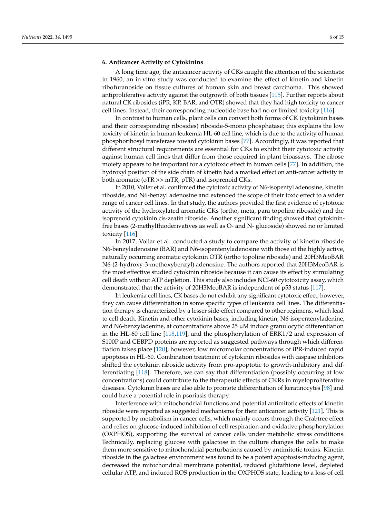#### **6. Anticancer Activity of Cytokinins**

A long time ago, the anticancer activity of CKs caught the attention of the scientists: in 1960, an in vitro study was conducted to examine the effect of kinetin and kinetin ribofuranoside on tissue cultures of human skin and breast carcinoma. This showed antiproliferative activity against the outgrowth of both tissues [\[115\]](#page-14-8). Further reports about natural CK ribosides (iPR, KP, BAR, and OTR) showed that they had high toxicity to cancer cell lines. Instead, their corresponding nucleotide base had no or limited toxicity [\[116\]](#page-14-9).

In contrast to human cells, plant cells can convert both forms of CK (cytokinin bases and their corresponding ribosides) riboside-5-mono phosphatase; this explains the low toxicity of kinetin in human leukemia HL-60 cell line, which is due to the activity of human phosphoribosyl transferase toward cytokinin bases [\[77\]](#page-13-22). Accordingly, it was reported that different structural requirements are essential for CKs to exhibit their cytotoxic activity against human cell lines that differ from those required in plant bioassays. The ribose moiety appears to be important for a cytotoxic effect in human cells [\[77\]](#page-13-22). In addition, the hydroxyl position of the side chain of kinetin had a marked effect on anti-cancer activity in both aromatic (oTR >> mTR, pTR) and isoprenoid CKs.

In 2010, Voller et al. confirmed the cytotoxic activity of N6-isopentyl adenosine, kinetin riboside, and N6-benzyl adenosine and extended the scope of their toxic effect to a wider range of cancer cell lines. In that study, the authors provided the first evidence of cytotoxic activity of the hydroxylated aromatic CKs (ortho, meta, para topoline riboside) and the isoprenoid cytokinin cis-zeatin riboside. Another significant finding showed that cytokininfree bases (2-methylthioderivatives as well as O- and N- glucoside) showed no or limited toxicity [\[116\]](#page-14-9).

In 2017, Vollar et al. conducted a study to compare the activity of kinetin riboside N6-benzyladenosine (BAR) and N6-isopentenyladenosine with those of the highly active, naturally occurring aromatic cytokinin OTR (ortho topoline riboside) and 20H3MeoBAR N6-(2-hydroxy-3-methoxybenzyl) adenosine. The authors reported that 20H3MeoBAR is the most effective studied cytokinin riboside because it can cause its effect by stimulating cell death without ATP depletion. This study also includes NCI-60 cytotoxicity assay, which demonstrated that the activity of 20H3MeoBAR is independent of p53 status [\[117\]](#page-14-10).

In leukemia cell lines, CK bases do not exhibit any significant cytotoxic effect; however, they can cause differentiation in some specific types of leukemia cell lines. The differentiation therapy is characterized by a lesser side-effect compared to other regimens, which lead to cell death. Kinetin and other cytokinin bases, including kinetin, N6-isopentenyladenine, and N6-benzyladenine, at concentrations above  $25 \mu M$  induce granulocytic differentiation in the HL-60 cell line [\[118,](#page-14-11)[119\]](#page-14-12), and the phosphorylation of ERK1/2 and expression of S100P and CEBPD proteins are reported as suggested pathways through which differentiation takes place [\[120\]](#page-14-13); however, low micromolar concentrations of iPR-induced rapid apoptosis in HL-60. Combination treatment of cytokinin ribosides with caspase inhibitors shifted the cytokinin riboside activity from pro-apoptotic to growth-inhibitory and differentiating [\[118\]](#page-14-11). Therefore, we can say that differentiation (possibly occurring at low concentrations) could contribute to the therapeutic effects of CKRs in myeloproliferative diseases. Cytokinin bases are also able to promote differentiation of keratinocytes [\[98\]](#page-13-17) and could have a potential role in psoriasis therapy.

Interference with mitochondrial functions and potential antimitotic effects of kinetin riboside were reported as suggested mechanisms for their anticancer activity [\[121\]](#page-14-14). This is supported by metabolism in cancer cells, which mainly occurs through the Crabtree effect and relies on glucose-induced inhibition of cell respiration and oxidative phosphorylation (OXPHOS), supporting the survival of cancer cells under metabolic stress conditions. Technically, replacing glucose with galactose in the culture changes the cells to make them more sensitive to mitochondrial perturbations caused by antimitotic toxins. Kinetin riboside in the galactose environment was found to be a potent apoptosis-inducing agent, decreased the mitochondrial membrane potential, reduced glutathione level, depleted cellular ATP, and induced ROS production in the OXPHOS state, leading to a loss of cell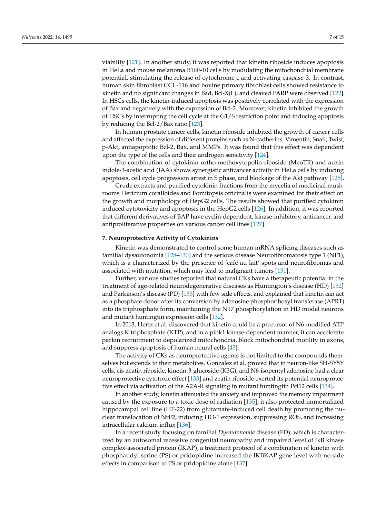viability [\[121\]](#page-14-14). In another study, it was reported that kinetin riboside induces apoptosis in HeLa and mouse melanoma B16F-10 cells by modulating the mitochondrial membrane potential, stimulating the release of cytochrome c and activating caspase-3. In contrast, human skin fibroblast CCL-116 and bovine primary fibroblast cells showed resistance to kinetin and no significant changes in Bad, Bcl-X(L), and cleaved PARP were observed [\[122\]](#page-14-15). In HSCs cells, the kinetin-induced apoptosis was positively correlated with the expression of Bax and negatively with the expression of Bcl-2. Moreover, kinetin inhibited the growth of HSCs by interrupting the cell cycle at the G1/S restriction point and inducing apoptosis by reducing the Bcl-2/Bax ratio [\[123\]](#page-14-16).

In human prostate cancer cells, kinetin riboside inhibited the growth of cancer cells and affected the expression of different proteins such as N-cadherins, Vimentin, Snail, Twist, p-Akt, antiapoptotic Bcl-2, Bax, and MMPs. It was found that this effect was dependent upon the type of the cells and their androgen sensitivity [\[124\]](#page-14-17).

The combination of cytokinin ortho-methoxytopolin-riboside (MeoTR) and auxin indole-3-acetic acid (IAA) shows synergistic anticancer activity in HeLa cells by inducing apoptosis, cell cycle progression arrest in S phase, and blockage of the Akt pathway [\[125\]](#page-14-18).

Crude extracts and purified cytokinin fractions from the mycelia of medicinal mushrooms Hericium coralloides and Fomitopsis officinalis were examined for their effect on the growth and morphology of HepG2 cells. The results showed that purified cytokinin induced cytotoxicity and apoptosis in the HepG2 cells [\[126\]](#page-14-19). In addition, it was reported that different derivatives of BAP have cyclin-dependent, kinase-inhibitory, anticancer, and antiproliferative properties on various cancer cell lines [\[127\]](#page-14-20).

#### **7. Neuroprotective Activity of Cytokinins**

Kinetin was demonstrated to control some human mRNA splicing diseases such as familial dysautonomia [\[128](#page-14-21)[–130\]](#page-15-0) and the serious disease Neurofibromatosis type 1 (NF1), which is a characterized by the presence of 'café au lait' spots and neurofibromas and associated with mutation, which may lead to malignant tumors [\[131\]](#page-15-1).

Further, various studies reported that natural CKs have a therapeutic potential in the treatment of age-related neurodegenerative diseases as Huntington's disease (HD) [\[132\]](#page-15-2) and Parkinson's disease (PD) [\[133\]](#page-15-3) with few side effects, and explained that kinetin can act as a phosphate donor after its conversion by adenosine phosphoribosyl transferase (APRT) into its triphosphate form, maintaining the N17 phosphorylation in HD model neurons and mutant huntingtin expression cells [\[132\]](#page-15-2).

In 2013, Hertz et al. discovered that kinetin could be a precursor of N6-modified ATP analogs K triphosphate (KTP), and in a pink1 kinase-dependent manner, it can accelerate parkin recruitment to depolarized mitochondria, block mitochondrial motility in axons, and suppress apoptosis of human neural cells [\[43\]](#page-11-14).

The activity of CKs as neuroprotective agents is not limited to the compounds themselves but extends to their metabolites. Gonzalez et al. proved that in neuron-like SH-SY5Y cells, cis-zeatin riboside, kinetin-3-glucoside (K3G), and N6-isopentyl adenosine had a clear neuroprotective cytotoxic effect [\[133\]](#page-15-3) and zeatin riboside exerted its potential neuroprotective effect via activation of the A2A-R signaling in mutant huntingtin Pcl12 cells [\[134\]](#page-15-4).

In another study, kinetin attenuated the anxiety and improved the memory impairment caused by the exposure to a toxic dose of radiation [\[135\]](#page-15-5); it also protected immortalized hippocampal cell line (HT-22) from glutamate-induced cell death by promoting the nuclear translocation of NrF2, inducing HO-1 expression, suppressing ROS, and increasing intracellular calcium influx [\[136\]](#page-15-6).

In a recent study focusing on familial *Dysautonomia* disease (FD), which is characterized by an autosomal recessive congenital neuropathy and impaired level of IκB kinase complex-associated protein (IKAP), a treatment protocol of a combination of kinetin with phosphatidyl serine (PS) or pridopidine increased the IKBKAP gene level with no side effects in comparison to PS or pridopidine alone [\[137\]](#page-15-7).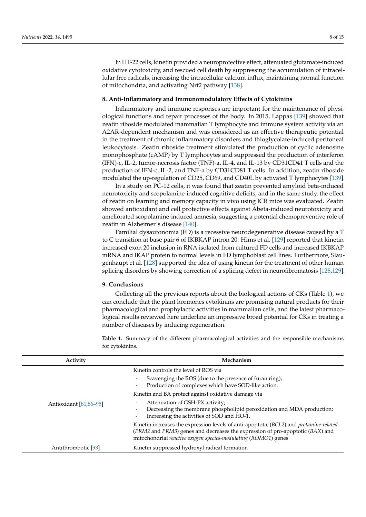In HT-22 cells, kinetin provided a neuroprotective effect, attenuated glutamate-induced oxidative cytotoxicity, and rescued cell death by suppressing the accumulation of intracellular free radicals, increasing the intracellular calcium influx, maintaining normal function of mitochondria, and activating Nrf2 pathway [\[138\]](#page-15-8).

#### **8. Anti-Inflammatory and Immunomodulatory Effects of Cytokinins**

Inflammatory and immune responses are important for the maintenance of physiological functions and repair processes of the body. In 2015, Lappas [\[139\]](#page-15-9) showed that zeatin riboside modulated mammalian T lymphocyte and immune system activity via an A2AR-dependent mechanism and was considered as an effective therapeutic potential in the treatment of chronic inflammatory disorders and thioglycolate-induced peritoneal leukocytosis. Zeatin riboside treatment stimulated the production of cyclic adenosine monophosphate (cAMP) by T lymphocytes and suppressed the production of interferon (IFN)-c, IL-2, tumor-necrosis factor (TNF)-a, IL-4, and IL-13 by CD31CD41 T cells and the production of IFN-c, IL-2, and TNF-a by CD31CD81 T cells. In addition, zeatin riboside modulated the up-regulation of CD25, CD69, and CD40L by activated T lymphocytes [\[139\]](#page-15-9).

In a study on PC-12 cells, it was found that zeatin prevented amyloid beta-induced neurotoxicity and scopolamine-induced cognitive deficits, and in the same study, the effect of zeatin on learning and memory capacity in vivo using ICR mice was evaluated. Zeatin showed antioxidant and cell protective effects against Abeta-induced neurotoxicity and ameliorated scopolamine-induced amnesia, suggesting a potential chemopreventive role of zeatin in Alzheimer's disease [\[140\]](#page-15-10).

Familial dysautonomia (FD) is a recessive neurodegenerative disease caused by a T to C transition at base pair 6 of IKBKAP intron 20. Hims et al. [\[129\]](#page-14-22) reported that kinetin increased exon 20 inclusion in RNA isolated from cultured FD cells and increased IKBKAP mRNA and IKAP protein to normal levels in FD lymphoblast cell lines. Furthermore, Slaugenhaupt et al. [\[128\]](#page-14-21) supported the idea of using kinetin for the treatment of other human splicing disorders by showing correction of a splicing defect in neurofibromatosis [\[128](#page-14-21)[,129\]](#page-14-22).

#### **9. Conclusions**

Collecting all the previous reports about the biological actions of CKs (Table [1\)](#page-8-0), we can conclude that the plant hormones cytokinins are promising natural products for their pharmacological and prophylactic activities in mammalian cells, and the latest pharmacological results reviewed here underline an impressive broad potential for CKs in treating a number of diseases by inducing regeneration.

<span id="page-8-0"></span>**Table 1.** Summary of the different pharmacological activities and the responsible mechanisms for cytokinins.

| Activity               | Mechanism                                                                                                                                                                                                                                        |
|------------------------|--------------------------------------------------------------------------------------------------------------------------------------------------------------------------------------------------------------------------------------------------|
| Antioxidant [81,86–95] | Kinetin controls the level of ROS via                                                                                                                                                                                                            |
|                        | Scavenging the ROS (due to the presence of furan ring);<br>Production of complexes which have SOD-like action.                                                                                                                                   |
|                        | Kinetin and BA protect against oxidative damage via                                                                                                                                                                                              |
|                        | Attenuation of GSH-PX activity;<br>Decreasing the membrane phospholipid peroxidation and MDA production;<br>Increasing the activities of SOD and HO-1.<br>$\qquad \qquad \blacksquare$                                                           |
|                        | Kinetin increases the expression levels of anti-apoptotic (BCL2) and <i>protamine-related</i><br>(PRM2 and PRM3) genes and decreases the expression of pro-apoptotic (BAX) and<br>mitochondrial reactive oxygen species-modulating (ROMO1) genes |
| Antithrombotic [93]    | Kinetin suppressed hydroxyl radical formation                                                                                                                                                                                                    |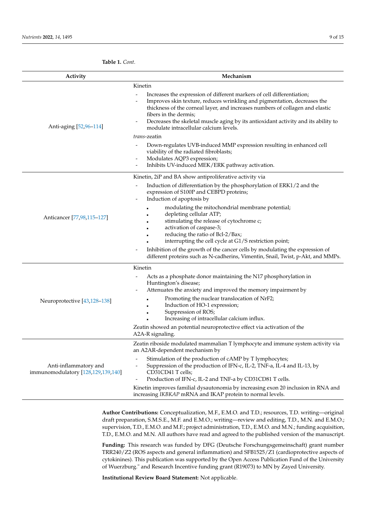| Activity                                                    | Mechanism                                                                                                                                                                                                                                                                                                                                                                                                                                                                                                                                                                                                                                                                               |
|-------------------------------------------------------------|-----------------------------------------------------------------------------------------------------------------------------------------------------------------------------------------------------------------------------------------------------------------------------------------------------------------------------------------------------------------------------------------------------------------------------------------------------------------------------------------------------------------------------------------------------------------------------------------------------------------------------------------------------------------------------------------|
| Anti-aging [52,96-114]                                      | Kinetin<br>Increases the expression of different markers of cell differentiation;<br>Improves skin texture, reduces wrinkling and pigmentation, decreases the<br>thickness of the corneal layer, and increases numbers of collagen and elastic<br>fibers in the dermis;<br>Decreases the skeletal muscle aging by its antioxidant activity and its ability to<br>modulate intracellular calcium levels.<br>trans-zeatin<br>Down-regulates UVB-induced MMP expression resulting in enhanced cell<br>$\overline{\phantom{a}}$<br>viability of the radiated fibroblasts;<br>Modulates AQP3 expression;<br>-<br>Inhibits UV-induced MEK/ERK pathway activation.<br>$\overline{\phantom{0}}$ |
| Anticancer [77,98,115-127]                                  | Kinetin, 2iP and BA show antiproliferative activity via<br>Induction of differentiation by the phosphorylation of ERK1/2 and the<br>expression of S100P and CEBPD proteins;<br>Induction of apoptosis by<br>$\overline{\phantom{0}}$<br>modulating the mitochondrial membrane potential;<br>depleting cellular ATP;<br>stimulating the release of cytochrome c;<br>activation of caspase-3;<br>reducing the ratio of Bcl-2/Bax;<br>interrupting the cell cycle at G1/S restriction point;<br>Inhibition of the growth of the cancer cells by modulating the expression of<br>different proteins such as N-cadherins, Vimentin, Snail, Twist, p-Akt, and MMPs.                           |
| Neuroprotective [43,128-138]                                | Kinetin<br>Acts as a phosphate donor maintaining the N17 phosphorylation in<br>Huntington's disease;<br>Attenuates the anxiety and improved the memory impairment by<br>Promoting the nuclear translocation of NrF2;<br>Induction of HO-1 expression;<br>Suppression of ROS;<br>Increasing of intracellular calcium influx.<br>Zeatin showed an potential neuroprotective effect via activation of the<br>A2A-R signaling.                                                                                                                                                                                                                                                              |
| Anti-inflammatory and<br>immunomodulatory [128,129,139,140] | Zeatin riboside modulated mammalian T lymphocyte and immune system activity via<br>an A2AR-dependent mechanism by<br>Stimulation of the production of cAMP by T lymphocytes;<br>Suppression of the production of IFN-c, IL-2, TNF-a, IL-4 and IL-13, by<br>$\overline{\phantom{a}}$<br>CD31CD41 T cells;<br>Production of IFN-c, IL-2 and TNF-a by CD31CD81 T cells.<br>Kinetin improves familial dysautonomia by increasing exon 20 inclusion in RNA and<br>increasing IKBKAP mRNA and IKAP protein to normal levels.                                                                                                                                                                  |

**Author Contributions:** Conceptualization, M.F., E.M.O. and T.D.; resources, T.D. writing—original draft preparation, S.M.S.E., M.F. and E.M.O.; writing—review and editing, T.D., M.N. and E.M.O.; supervision, T.D., E.M.O. and M.F.; project administration, T.D., E.M.O. and M.N.; funding acquisition, T.D., E.M.O. and M.N. All authors have read and agreed to the published version of the manuscript.

**Funding:** This research was funded by DFG (Deutsche Forschungsgemeinschaft) grant number TRR240/Z2 (ROS aspects and general inflammation) and SFB1525/Z1 (cardioprotective aspects of cytokinines). This publication was supported by the Open Access Publication Fund of the University of Wuerzburg." and Research Incentive funding grant (R19073) to MN by Zayed University.

**Institutional Review Board Statement:** Not applicable.

**Table 1.** *Cont.*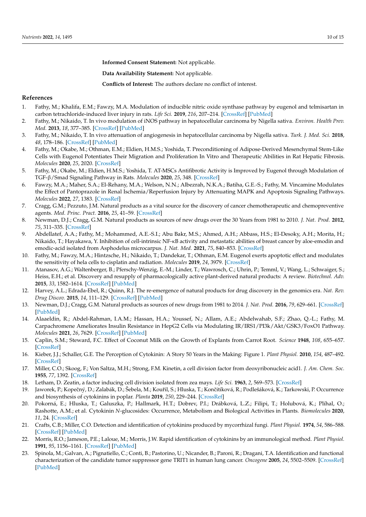**Informed Consent Statement:** Not applicable.

**Data Availability Statement:** Not applicable.

**Conflicts of Interest:** The authors declare no conflict of interest.

#### **References**

- <span id="page-10-0"></span>1. Fathy, M.; Khalifa, E.M.; Fawzy, M.A. Modulation of inducible nitric oxide synthase pathway by eugenol and telmisartan in carbon tetrachloride-induced liver injury in rats. *Life Sci.* **2019**, *216*, 207–214. [\[CrossRef\]](http://doi.org/10.1016/j.lfs.2018.11.031) [\[PubMed\]](http://www.ncbi.nlm.nih.gov/pubmed/30452970)
- 2. Fathy, M.; Nikaido, T. In vivo modulation of iNOS pathway in hepatocellular carcinoma by Nigella sativa. *Environ. Health Prev. Med.* **2013**, *18*, 377–385. [\[CrossRef\]](http://doi.org/10.1007/s12199-013-0336-8) [\[PubMed\]](http://www.ncbi.nlm.nih.gov/pubmed/23609474)
- 3. Fathy, M.; Nikaido, T. In vivo attenuation of angiogenesis in hepatocellular carcinoma by Nigella sativa. *Turk. J. Med. Sci.* **2018**, *48*, 178–186. [\[CrossRef\]](http://doi.org/10.3906/sag-1701-86) [\[PubMed\]](http://www.ncbi.nlm.nih.gov/pubmed/29479981)
- 4. Fathy, M.; Okabe, M.; Othman, E.M.; Eldien, H.M.S.; Yoshida, T. Preconditioning of Adipose-Derived Mesenchymal Stem-Like Cells with Eugenol Potentiates Their Migration and Proliferation In Vitro and Therapeutic Abilities in Rat Hepatic Fibrosis. *Molecules* **2020**, *25*, 2020. [\[CrossRef\]](http://doi.org/10.3390/molecules25092020)
- 5. Fathy, M.; Okabe, M.; Eldien, H.M.S.; Yoshida, T. AT-MSCs Antifibrotic Activity is Improved by Eugenol through Modulation of TGF-β/Smad Signaling Pathway in Rats. *Molecules* **2020**, *25*, 348. [\[CrossRef\]](http://doi.org/10.3390/molecules25020348)
- <span id="page-10-1"></span>6. Fawzy, M.A.; Maher, S.A.; El-Rehany, M.A.; Welson, N.N.; Albezrah, N.K.A.; Batiha, G.E.-S.; Fathy, M. Vincamine Modulates the Effect of Pantoprazole in Renal Ischemia/Reperfusion Injury by Attenuating MAPK and Apoptosis Signaling Pathways. *Molecules* **2022**, *27*, 1383. [\[CrossRef\]](http://doi.org/10.3390/molecules27041383)
- <span id="page-10-2"></span>7. Cragg, G.M.; Pezzuto, J.M. Natural products as a vital source for the discovery of cancer chemotherapeutic and chemopreventive agents. *Med. Princ. Pract.* **2016**, *25*, 41–59. [\[CrossRef\]](http://doi.org/10.1159/000443404)
- 8. Newman, D.J.; Cragg, G.M. Natural products as sources of new drugs over the 30 Years from 1981 to 2010. *J. Nat. Prod.* **2012**, *75*, 311–335. [\[CrossRef\]](http://doi.org/10.1021/np200906s)
- 9. Abdellatef, A.A.; Fathy, M.; Mohammed, A.E.-S.I.; Abu Bakr, M.S.; Ahmed, A.H.; Abbass, H.S.; El-Desoky, A.H.; Morita, H.; Nikaido, T.; Hayakawa, Y. Inhibition of cell-intrinsic NF-κB activity and metastatic abilities of breast cancer by aloe-emodin and emodic-acid isolated from Asphodelus microcarpus. *J. Nat. Med.* **2021**, *75*, 840–853. [\[CrossRef\]](http://doi.org/10.1007/s11418-021-01526-w)
- <span id="page-10-3"></span>10. Fathy, M.; Fawzy, M.A.; Hintzsche, H.; Nikaido, T.; Dandekar, T.; Othman, E.M. Eugenol exerts apoptotic effect and modulates the sensitivity of hela cells to cisplatin and radiation. *Molecules* **2019**, *24*, 3979. [\[CrossRef\]](http://doi.org/10.3390/molecules24213979)
- <span id="page-10-4"></span>11. Atanasov, A.G.; Waltenberger, B.; Pferschy-Wenzig, E.-M.; Linder, T.; Wawrosch, C.; Uhrin, P.; Temml, V.; Wang, L.; Schwaiger, S.; Heiss, E.H.; et al. Discovery and resupply of pharmacologically active plant-derived natural products: A review. *Biotechnol. Adv.* **2015**, *33*, 1582–1614. [\[CrossRef\]](http://doi.org/10.1016/j.biotechadv.2015.08.001) [\[PubMed\]](http://www.ncbi.nlm.nih.gov/pubmed/26281720)
- 12. Harvey, A.L.; Edrada-Ebel, R.; Quinn, R.J. The re-emergence of natural products for drug discovery in the genomics era. *Nat. Rev. Drug Discov.* **2015**, *14*, 111–129. [\[CrossRef\]](http://doi.org/10.1038/nrd4510) [\[PubMed\]](http://www.ncbi.nlm.nih.gov/pubmed/25614221)
- 13. Newman, D.J.; Cragg, G.M. Natural products as sources of new drugs from 1981 to 2014. *J. Nat. Prod.* **2016**, *79*, 629–661. [\[CrossRef\]](http://doi.org/10.1021/acs.jnatprod.5b01055) [\[PubMed\]](http://www.ncbi.nlm.nih.gov/pubmed/26852623)
- <span id="page-10-5"></span>14. Alaaeldin, R.; Abdel-Rahman, I.A.M.; Hassan, H.A.; Youssef, N.; Allam, A.E.; Abdelwahab, S.F.; Zhao, Q.-L.; Fathy, M. Carpachromene Ameliorates Insulin Resistance in HepG2 Cells via Modulating IR/IRS1/PI3k/Akt/GSK3/FoxO1 Pathway. *Molecules* **2021**, *26*, 7629. [\[CrossRef\]](http://doi.org/10.3390/molecules26247629) [\[PubMed\]](http://www.ncbi.nlm.nih.gov/pubmed/34946711)
- <span id="page-10-6"></span>15. Caplin, S.M.; Steward, F.C. Effect of Coconut Milk on the Growth of Explants from Carrot Root. *Science* **1948**, *108*, 655–657. [\[CrossRef\]](http://doi.org/10.1126/science.108.2815.655)
- <span id="page-10-7"></span>16. Kieber, J.J.; Schaller, G.E. The Perception of Cytokinin: A Story 50 Years in the Making: Figure 1. *Plant Physiol.* **2010**, *154*, 487–492. [\[CrossRef\]](http://doi.org/10.1104/pp.110.161596)
- <span id="page-10-8"></span>17. Miller, C.O.; Skoog, F.; Von Saltza, M.H.; Strong, F.M. Kinetin, a cell division factor from deoxyribonucleic acid1. *J. Am. Chem. Soc.* **1955**, *77*, 1392. [\[CrossRef\]](http://doi.org/10.1021/ja01610a105)
- <span id="page-10-9"></span>18. Letham, D. Zeatin, a factor inducing cell division isolated from zea mays. *Life Sci.* **1963**, *2*, 569–573. [\[CrossRef\]](http://doi.org/10.1016/0024-3205(63)90108-5)
- <span id="page-10-10"></span>19. Jaworek, P.; Kopečný, D.; Zalabák, D.; Šebela, M.; Kouřil, S.; Hluska, T.; Končitíková, R.; Podlešáková, K.; Tarkowski, P. Occurrence and biosynthesis of cytokinins in poplar. *Planta* **2019**, *250*, 229–244. [\[CrossRef\]](http://doi.org/10.1007/s00425-019-03152-z)
- 20. Pokorná, E.; Hluska, T.; Galuszka, P.; Hallmark, H.T.; Dobrev, P.I.; Drábková, L.Z.; Filipi, T.; Holubová, K.; Plíhal, O.; Rashotte, A.M.; et al. Cytokinin *N*-glucosides: Occurrence, Metabolism and Biological Activities in Plants. *Biomolecules* **2020**, *11*, 24. [\[CrossRef\]](http://doi.org/10.3390/biom11010024)
- 21. Crafts, C.B.; Miller, C.O. Detection and identification of cytokinins produced by mycorrhizal fungi. *Plant Physiol.* **1974**, *54*, 586–588. [\[CrossRef\]](http://doi.org/10.1104/pp.54.4.586) [\[PubMed\]](http://www.ncbi.nlm.nih.gov/pubmed/16658934)
- <span id="page-10-11"></span>22. Morris, R.O.; Jameson, P.E.; Laloue, M.; Morris, J.W. Rapid identification of cytokinins by an immunological method. *Plant Physiol.* **1991**, *95*, 1156–1161. [\[CrossRef\]](http://doi.org/10.1104/pp.95.4.1156) [\[PubMed\]](http://www.ncbi.nlm.nih.gov/pubmed/16668105)
- 23. Spinola, M.; Galvan, A.; Pignatiello, C.; Conti, B.; Pastorino, U.; Nicander, B.; Paroni, R.; Dragani, T.A. Identification and functional characterization of the candidate tumor suppressor gene TRIT1 in human lung cancer. *Oncogene* **2005**, *24*, 5502–5509. [\[CrossRef\]](http://doi.org/10.1038/sj.onc.1208687) [\[PubMed\]](http://www.ncbi.nlm.nih.gov/pubmed/15870694)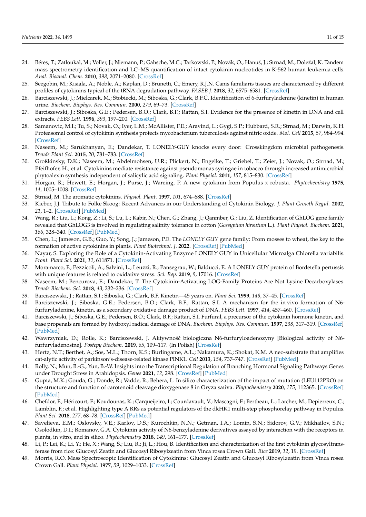- <span id="page-11-0"></span>24. Béres, T.; Zatloukal, M.; Voller, J.; Niemann, P.; Gahsche, M.C.; Tarkowski, P.; Novák, O.; Hanuš, J.; Strnad, M.; Doležal, K. Tandem mass spectrometry identification and LC–MS quantification of intact cytokinin nucleotides in K-562 human leukemia cells. *Anal. Bioanal. Chem.* **2010**, *398*, 2071–2080. [\[CrossRef\]](http://doi.org/10.1007/s00216-010-4126-5)
- <span id="page-11-1"></span>25. Seegobin, M.; Kisiala, A.; Noble, A.; Kaplan, D.; Brunetti, C.; Emery, R.J.N. Canis familiaris tissues are characterized by different profiles of cytokinins typical of the tRNA degradation pathway. *FASEB J.* **2018**, *32*, 6575–6581. [\[CrossRef\]](http://doi.org/10.1096/fj.201800347)
- 26. Barciszewski, J.; Mielcarek, M.; Stobiecki, M.; Siboska, G.; Clark, B.F.C. Identification of 6-furfuryladenine (kinetin) in human urine. *Biochem. Biophys. Res. Commun.* **2000**, *279*, 69–73. [\[CrossRef\]](http://doi.org/10.1006/bbrc.2000.3928)
- <span id="page-11-2"></span>27. Barciszewski, J.; Siboska, G.E.; Pedersen, B.O.; Clark, B.F.; Rattan, S.I. Evidence for the presence of kinetin in DNA and cell extracts. *FEBS Lett.* **1996**, *393*, 197–200. [\[CrossRef\]](http://doi.org/10.1016/0014-5793(96)00884-8)
- <span id="page-11-3"></span>28. Samanovic, M.I.; Tu, S.; Novak, O.; Iyer, L.M.; McAllister, F.E.; Aravind, L.; Gygi, S.P.; Hubbard, S.R.; Strnad, M.; Darwin, K.H. Proteasomal control of cytokinin synthesis protects mycobacterium tuberculosis against nitric oxide. *Mol. Cell* **2015**, *57*, 984–994. [\[CrossRef\]](http://doi.org/10.1016/j.molcel.2015.01.024)
- 29. Naseem, M.; Sarukhanyan, E.; Dandekar, T. LONELY-GUY knocks every door: Crosskingdom microbial pathogenesis. *Trends Plant Sci.* **2015**, *20*, 781–783. [\[CrossRef\]](http://doi.org/10.1016/j.tplants.2015.10.017)
- <span id="page-11-4"></span>30. Großkinsky, D.K.; Naseem, M.; Abdelmohsen, U.R.; Plickert, N.; Engelke, T.; Griebel, T.; Zeier, J.; Novak, O.; Strnad, M.; Pfeifhofer, H.; et al. Cytokinins mediate resistance against pseudomonas syringae in tobacco through increased antimicrobial phytoalexin synthesis independent of salicylic acid signaling. *Plant Physiol.* **2011**, *157*, 815–830. [\[CrossRef\]](http://doi.org/10.1104/pp.111.182931)
- <span id="page-11-5"></span>31. Horgan, R.; Hewett, E.; Horgan, J.; Purse, J.; Wareing, P. A new cytokinin from Populus x robusta. *Phytochemistry* **1975**, *14*, 1005–1008. [\[CrossRef\]](http://doi.org/10.1016/0031-9422(75)85176-4)
- <span id="page-11-6"></span>32. Strnad, M. The aromatic cytokinins. *Physiol. Plant.* **1997**, *101*, 674–688. [\[CrossRef\]](http://doi.org/10.1111/j.1399-3054.1997.tb01052.x)
- <span id="page-11-7"></span>33. Kieber, J.J. Tribute to Folke Skoog: Recent Advances in our Understanding of Cytokinin Biology. *J. Plant Growth Regul.* **2002**, *21*, 1–2. [\[CrossRef\]](http://doi.org/10.1007/s003440010059) [\[PubMed\]](http://www.ncbi.nlm.nih.gov/pubmed/11981613)
- <span id="page-11-8"></span>34. Wang, R.; Liu, L.; Kong, Z.; Li, S.; Lu, L.; Kabir, N.; Chen, G.; Zhang, J.; Qanmber, G.; Liu, Z. Identification of GhLOG gene family revealed that GhLOG3 is involved in regulating salinity tolerance in cotton (*Gossypium hirsutum* L.). *Plant Physiol. Biochem.* **2021**, *166*, 328–340. [\[CrossRef\]](http://doi.org/10.1016/j.plaphy.2021.06.011) [\[PubMed\]](http://www.ncbi.nlm.nih.gov/pubmed/34147725)
- 35. Chen, L.; Jameson, G.B.; Guo, Y.; Song, J.; Jameson, P.E. The *LONELY GUY* gene family: From mosses to wheat, the key to the formation of active cytokinins in plants. *Plant Biotechnol. J.* **2022**. [\[CrossRef\]](http://doi.org/10.1111/pbi.13783) [\[PubMed\]](http://www.ncbi.nlm.nih.gov/pubmed/35108444)
- 36. Nayar, S. Exploring the Role of a Cytokinin-Activating Enzyme LONELY GUY in Unicellular Microalga Chlorella variabilis. *Front. Plant Sci.* **2021**, *11*, 611871. [\[CrossRef\]](http://doi.org/10.3389/fpls.2020.611871)
- 37. Moramarco, F.; Pezzicoli, A.; Salvini, L.; Leuzzi, R.; Pansegrau, W.; Balducci, E. A LONELY GUY protein of Bordetella pertussis with unique features is related to oxidative stress. *Sci. Rep.* **2019**, *9*, 17016. [\[CrossRef\]](http://doi.org/10.1038/s41598-019-53171-9)
- <span id="page-11-9"></span>38. Naseem, M.; Bencurova, E.; Dandekar, T. The Cytokinin-Activating LOG-Family Proteins Are Not Lysine Decarboxylases. *Trends Biochem. Sci.* **2018**, *43*, 232–236. [\[CrossRef\]](http://doi.org/10.1016/j.tibs.2018.01.002)
- <span id="page-11-10"></span>39. Barciszewski, J.; Rattan, S.I.; Siboska, G.; Clark, B.F. Kinetin—45 years on. *Plant Sci.* **1999**, *148*, 37–45. [\[CrossRef\]](http://doi.org/10.1016/S0168-9452(99)00116-8)
- <span id="page-11-11"></span>40. Barciszewski, J.; Siboska, G.E.; Pedersen, B.O.; Clark, B.F.; Rattan, S.I. A mechanism for the in vivo formation of N6 furfuryladenine, kinetin, as a secondary oxidative damage product of DNA. *FEBS Lett.* **1997**, *414*, 457–460. [\[CrossRef\]](http://doi.org/10.1016/s0014-5793(97)01037-5)
- <span id="page-11-12"></span>41. Barciszewski, J.; Siboska, G.E.; Pedersen, B.O.; Clark, B.F.; Rattan, S.I. Furfural, a precursor of the cytokinin hormone kinetin, and base propenals are formed by hydroxyl radical damage of DNA. *Biochem. Biophys. Res. Commun.* **1997**, *238*, 317–319. [\[CrossRef\]](http://doi.org/10.1006/bbrc.1997.7315) [\[PubMed\]](http://www.ncbi.nlm.nih.gov/pubmed/9299502)
- <span id="page-11-13"></span>42. Wawrzyniak, D.; Rolle, K.; Barciszewski, J. Aktywność biologiczna N6-furfuryloadenozyny [Biological activity of N6furfuryladenosine]. *Postepy Biochem.* **2019**, *65*, 109–117. (In Polish) [\[CrossRef\]](http://doi.org/10.18388/pb.2019_265)
- <span id="page-11-14"></span>43. Hertz, N.T.; Berthet, A.; Sos, M.L.; Thorn, K.S.; Burlingame, A.L.; Nakamura, K.; Shokat, K.M. A neo-substrate that amplifies cat-alytic activity of parkinson's-disease-related kinase PINK1. *Cell* **2013**, *154*, 737–747. [\[CrossRef\]](http://doi.org/10.1016/j.cell.2013.07.030) [\[PubMed\]](http://www.ncbi.nlm.nih.gov/pubmed/23953109)
- <span id="page-11-15"></span>44. Rolly, N.; Mun, B.-G.; Yun, B.-W. Insights into the Transcriptional Regulation of Branching Hormonal Signaling Pathways Genes under Drought Stress in Arabidopsis. *Genes* **2021**, *12*, 298. [\[CrossRef\]](http://doi.org/10.3390/genes12020298) [\[PubMed\]](http://www.ncbi.nlm.nih.gov/pubmed/33672598)
- 45. Gupta, M.K.; Gouda, G.; Donde, R.; Vadde, R.; Behera, L. In silico characterization of the impact of mutation (LEU112PRO) on the structure and function of carotenoid cleavage dioxygenase 8 in Oryza sativa. *Phytochemistry* **2020**, *175*, 112365. [\[CrossRef\]](http://doi.org/10.1016/j.phytochem.2020.112365) [\[PubMed\]](http://www.ncbi.nlm.nih.gov/pubmed/32247721)
- 46. Chefdor, F.; Héricourt, F.; Koudounas, K.; Carqueijeiro, I.; Courdavault, V.; Mascagni, F.; Bertheau, L.; Larcher, M.; Depierreux, C.; Lamblin, F.; et al. Highlighting type A RRs as potential regulators of the dkHK1 multi-step phosphorelay pathway in Populus. *Plant Sci.* **2018**, *277*, 68–78. [\[CrossRef\]](http://doi.org/10.1016/j.plantsci.2018.09.010) [\[PubMed\]](http://www.ncbi.nlm.nih.gov/pubmed/30466602)
- <span id="page-11-16"></span>47. Savelieva, E.M.; Oslovsky, V.E.; Karlov, D.S.; Kurochkin, N.N.; Getman, I.A.; Lomin, S.N.; Sidorov, G.V.; Mikhailov, S.N.; Osolodkin, D.I.; Romanov, G.A. Cytokinin activity of N6-benzyladenine derivatives assayed by interaction with the receptors in planta, in vitro, and in silico. *Phytochemistry* **2018**, *149*, 161–177. [\[CrossRef\]](http://doi.org/10.1016/j.phytochem.2018.02.008)
- <span id="page-11-17"></span>48. Li, P.; Lei, K.; Li, Y.; He, X.; Wang, S.; Liu, R.; Ji, L.; Hou, B. Identification and characterization of the first cytokinin glycosyltransferase from rice: Glucosyl Zeatin and Glucosyl Ribosylzeatin from Vinca rosea Crown Gall. *Rice* **2019**, *12*, 19. [\[CrossRef\]](http://doi.org/10.1186/s12284-019-0279-9)
- <span id="page-11-18"></span>49. Morris, R.O. Mass Spectroscopic Identification of Cytokinins: Glucosyl Zeatin and Glucosyl Ribosylzeatin from Vinca rosea Crown Gall. *Plant Physiol.* **1977**, *59*, 1029–1033. [\[CrossRef\]](http://doi.org/10.1104/pp.59.6.1029)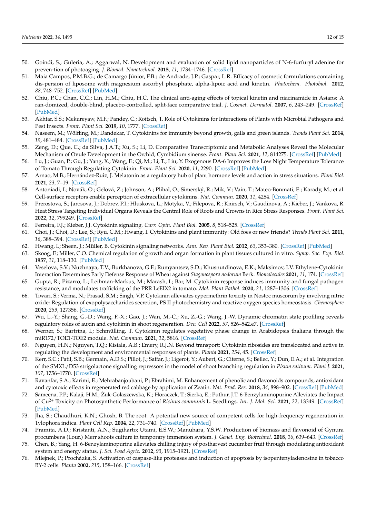- <span id="page-12-0"></span>50. Goindi, S.; Guleria, A.; Aggarwal, N. Development and evaluation of solid lipid nanoparticles of N-6-furfuryl adenine for preven-tion of photoaging. *J. Biomed. Nanotechnol.* **2015**, *11*, 1734–1746. [\[CrossRef\]](http://doi.org/10.1166/jbn.2015.2111)
- <span id="page-12-1"></span>51. Maia Campos, P.M.B.G.; de Camargo Júnior, F.B.; de Andrade, J.P.; Gaspar, L.R. Efficacy of cosmetic formulations containing dis-persion of liposome with magnesium ascorbyl phosphate, alpha-lipoic acid and kinetin. *Photochem. Photobiol.* **2012**, *88*, 748–752. [\[CrossRef\]](http://doi.org/10.1111/j.1751-1097.2012.01086.x) [\[PubMed\]](http://www.ncbi.nlm.nih.gov/pubmed/22236139)
- <span id="page-12-2"></span>52. Chiu, P.C.; Chan, C.C.; Lin, H.M.; Chiu, H.C. The clinical anti-aging effects of topical kinetin and niacinamide in Asians: A ran-domized, double-blind, placebo-controlled, split-face comparative trial. *J. Cosmet. Dermatol.* **2007**, *6*, 243–249. [\[CrossRef\]](http://doi.org/10.1111/j.1473-2165.2007.00342.x) [\[PubMed\]](http://www.ncbi.nlm.nih.gov/pubmed/18047609)
- <span id="page-12-3"></span>53. Akhtar, S.S.; Mekureyaw, M.F.; Pandey, C.; Roitsch, T. Role of Cytokinins for Interactions of Plants with Microbial Pathogens and Pest Insects. *Front. Plant Sci.* **2019**, *10*, 1777. [\[CrossRef\]](http://doi.org/10.3389/fpls.2019.01777)
- <span id="page-12-11"></span>54. Naseem, M.; Wölfling, M.; Dandekar, T. Cytokinins for immunity beyond growth, galls and green islands. *Trends Plant Sci.* **2014**, *19*, 481–484. [\[CrossRef\]](http://doi.org/10.1016/j.tplants.2014.04.001) [\[PubMed\]](http://www.ncbi.nlm.nih.gov/pubmed/24794463)
- <span id="page-12-4"></span>55. Zeng, D.; Que, C.; da Silva, J.A.T.; Xu, S.; Li, D. Comparative Transcriptomic and Metabolic Analyses Reveal the Molecular Mechanism of Ovule Development in the Orchid, Cymbidium sinense. *Front. Plant Sci.* **2021**, *12*, 814275. [\[CrossRef\]](http://doi.org/10.3389/fpls.2021.814275) [\[PubMed\]](http://www.ncbi.nlm.nih.gov/pubmed/35126436)
- <span id="page-12-5"></span>56. Lu, J.; Guan, P.; Gu, J.; Yang, X.; Wang, F.; Qi, M.; Li, T.; Liu, Y. Exogenous DA-6 Improves the Low Night Temperature Tolerance of Tomato Through Regulating Cytokinin. *Front. Plant Sci.* **2020**, *11*, 2290. [\[CrossRef\]](http://doi.org/10.3389/fpls.2020.599111) [\[PubMed\]](http://www.ncbi.nlm.nih.gov/pubmed/33613581)
- 57. Arnao, M.B.; Hernández-Ruiz, J. Melatonin as a regulatory hub of plant hormone levels and action in stress situations. *Plant Biol.* **2021**, *23*, 7–19. [\[CrossRef\]](http://doi.org/10.1111/plb.13202)
- 58. Antoniadi, I.; Novák, O.; Gelová, Z.; Johnson, A.; Plíhal, O.; Simerský, R.; Mik, V.; Vain, T.; Mateo-Bonmatí, E.; Karady, M.; et al. Cell-surface receptors enable perception of extracellular cytokinins. *Nat. Commun.* **2020**, *11*, 4284. [\[CrossRef\]](http://doi.org/10.1038/s41467-020-17700-9)
- <span id="page-12-6"></span>59. Prerostova, S.; Jarosova, J.; Dobrev, P.I.; Hluskova, L.; Motyka, V.; Filepova, R.; Knirsch, V.; Gaudinova, A.; Kieber, J.; Vankova, R. Heat Stress Targeting Individual Organs Reveals the Central Role of Roots and Crowns in Rice Stress Responses. *Front. Plant Sci.* **2022**, *12*, 799249. [\[CrossRef\]](http://doi.org/10.3389/fpls.2021.799249)
- <span id="page-12-7"></span>60. Ferreira, F.J.; Kieber, J.J. Cytokinin signaling. *Curr. Opin. Plant Biol.* **2005**, *8*, 518–525. [\[CrossRef\]](http://doi.org/10.1016/j.pbi.2005.07.013)
- <span id="page-12-8"></span>61. Choi, J.; Choi, D.; Lee, S.; Ryu, C.M.; Hwang, I. Cytokinins and plant immunity: Old foes or new friends? *Trends Plant Sci.* **2011**, *16*, 388–394. [\[CrossRef\]](http://doi.org/10.1016/j.tplants.2011.03.003) [\[PubMed\]](http://www.ncbi.nlm.nih.gov/pubmed/21470894)
- <span id="page-12-9"></span>62. Hwang, I.; Sheen, J.; Müller, B. Cytokinin signaling networks. *Ann. Rev. Plant Biol.* **2012**, *63*, 353–380. [\[CrossRef\]](http://doi.org/10.1146/annurev-arplant-042811-105503) [\[PubMed\]](http://www.ncbi.nlm.nih.gov/pubmed/22554243)
- <span id="page-12-10"></span>63. Skoog, F.; Miller, C.O. Chemical regulation of growth and organ formation in plant tissues cultured in vitro. *Symp. Soc. Exp. Biol.* **1957**, *11*, 118–130. [\[PubMed\]](http://www.ncbi.nlm.nih.gov/pubmed/13486467)
- <span id="page-12-12"></span>64. Veselova, S.V.; Nuzhnaya, T.V.; Burkhanova, G.F.; Rumyantsev, S.D.; Khusnutdinova, E.K.; Maksimov, I.V. Ethylene-Cytokinin Interaction Determines Early Defense Response of Wheat against *Stagonospora nodorum* Berk. *Biomolecules* **2021**, *11*, 174. [\[CrossRef\]](http://doi.org/10.3390/biom11020174)
- <span id="page-12-13"></span>65. Gupta, R.; Pizarro, L.; Leibman-Markus, M.; Marash, I.; Bar, M. Cytokinin response induces immunity and fungal pathogen resistance, and modulates trafficking of the PRR LeEIX2 in tomato. *Mol. Plant Pathol.* **2020**, *21*, 1287–1306. [\[CrossRef\]](http://doi.org/10.1111/mpp.12978)
- <span id="page-12-14"></span>66. Tiwari, S.; Verma, N.; Prasad, S.M.; Singh, V.P. Cytokinin alleviates cypermethrin toxicity in Nostoc muscorum by involving nitric oxide: Regulation of exopolysaccharides secretion, PS II photochemistry and reactive oxygen species homeostasis. *Chemosphere* **2020**, *259*, 127356. [\[CrossRef\]](http://doi.org/10.1016/j.chemosphere.2020.127356)
- <span id="page-12-15"></span>67. Wu, L.-Y.; Shang, G.-D.; Wang, F.-X.; Gao, J.; Wan, M.-C.; Xu, Z.-G.; Wang, J.-W. Dynamic chromatin state profiling reveals regulatory roles of auxin and cytokinin in shoot regeneration. *Dev. Cell* **2022**, *57*, 526–542.e7. [\[CrossRef\]](http://doi.org/10.1016/j.devcel.2021.12.019)
- <span id="page-12-16"></span>68. Werner, S.; Bartrina, I.; Schmülling, T. Cytokinin regulates vegetative phase change in Arabidopsis thaliana through the miR172/TOE1-TOE2 module. *Nat. Commun.* **2021**, *12*, 5816. [\[CrossRef\]](http://doi.org/10.1038/s41467-021-26088-z)
- <span id="page-12-17"></span>69. Nguyen, H.N.; Nguyen, T.Q.; Kisiala, A.B.; Emery, R.J.N. Beyond transport: Cytokinin ribosides are translocated and active in regulating the development and environmental responses of plants. *Planta* **2021**, *254*, 45. [\[CrossRef\]](http://doi.org/10.1007/s00425-021-03693-2)
- <span id="page-12-18"></span>70. Kerr, S.C.; Patil, S.B.; Germain, A.D.S.; Pillot, J.; Saffar, J.; Ligerot, Y.; Aubert, G.; Citerne, S.; Bellec, Y.; Dun, E.A.; et al. Integration of the SMXL/D53 strigolactone signalling repressors in the model of shoot branching regulation in *Pisum sativum*. *Plant J.* **2021**, *107*, 1756–1770. [\[CrossRef\]](http://doi.org/10.1111/tpj.15415)
- <span id="page-12-19"></span>71. Ravanfar, S.A.; Karimi, E.; Mehrabanjoubani, P.; Ebrahimi, M. Enhancement of phenolic and flavonoids compounds, antioxidant and cytotoxic effects in regenerated red cabbage by application of Zeatin. *Nat. Prod. Res.* **2018**, *34*, 898–902. [\[CrossRef\]](http://doi.org/10.1080/14786419.2018.1508145) [\[PubMed\]](http://www.ncbi.nlm.nih.gov/pubmed/30445870)
- <span id="page-12-20"></span>72. Sameena, P.P.; Kalaji, H.M.; Zuk-Gołaszewska, K.; Horaczek, T.; Sierka, E.; Puthur, J.T. 6-Benzylaminopurine Alleviates the Impact ˙ of Cu2+ Toxicity on Photosynthetic Performance of *Ricinus communis* L. Seedlings. *Int. J. Mol. Sci.* **2021**, *22*, 13349. [\[CrossRef\]](http://doi.org/10.3390/ijms222413349) [\[PubMed\]](http://www.ncbi.nlm.nih.gov/pubmed/34948146)
- <span id="page-12-21"></span>73. Jha, S.; Chaudhuri, K.N.; Ghosh, B. The root: A potential new source of competent cells for high-frequency regeneration in Tylophora indica. *Plant Cell Rep.* **2004**, *22*, 731–740. [\[CrossRef\]](http://doi.org/10.1007/s00299-003-0753-z) [\[PubMed\]](http://www.ncbi.nlm.nih.gov/pubmed/14963690)
- <span id="page-12-22"></span>74. Pramita, A.D.; Kristanti, A.N.; Sugiharto; Utami, E.S.W.; Manuhara, Y.S.W. Production of biomass and flavonoid of Gynura procumbens (Lour.) Merr shoots culture in temporary immersion system. *J. Genet. Eng. Biotechnol.* **2018**, *16*, 639–643. [\[CrossRef\]](http://doi.org/10.1016/j.jgeb.2018.05.007)
- <span id="page-12-23"></span>75. Chen, B.; Yang, H. 6-Benzylaminopurine alleviates chilling injury of postharvest cucumber fruit through modulating antioxidant system and energy status. *J. Sci. Food Agric.* **2012**, *93*, 1915–1921. [\[CrossRef\]](http://doi.org/10.1002/jsfa.5990)
- <span id="page-12-24"></span>76. Mlejnek, P.; Procházka, S. Activation of caspase-like proteases and induction of apoptosis by isopentenyladenosine in tobacco BY-2 cells. *Planta* **2002**, *215*, 158–166. [\[CrossRef\]](http://doi.org/10.1007/s00425-002-0733-5)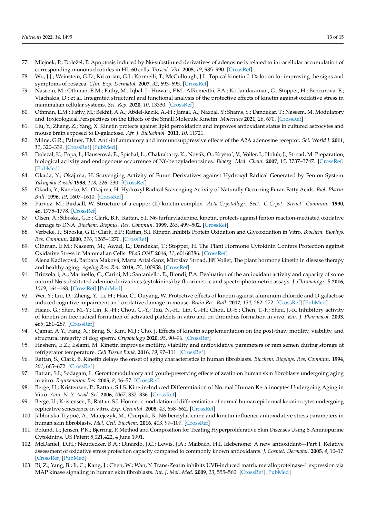- <span id="page-13-22"></span>77. Mlejnek, P.; Doležel, P. Apoptosis induced by N6-substituted derivatives of adenosine is related to intracellular accumulation of corresponding mononucleotides in HL-60 cells. *Toxicol. Vitr.* **2005**, *19*, 985–990. [\[CrossRef\]](http://doi.org/10.1016/j.tiv.2005.06.023)
- 78. Wu, J.J.; Weinstein, G.D.; Kricorian, G.J.; Kormeili, T.; McCullough, J.L. Topical kinetin 0.1% lotion for improving the signs and symptoms of rosacea. *Clin. Exp. Dermatol.* **2007**, *32*, 693–695. [\[CrossRef\]](http://doi.org/10.1111/j.1365-2230.2007.02513.x)
- 79. Naseem, M.; Othman, E.M.; Fathy, M.; Iqbal, J.; Howari, F.M.; AlRemeithi, F.A.; Kodandaraman, G.; Stopper, H.; Bencurova, E.; Vlachakis, D.; et al. Integrated structural and functional analysis of the protective effects of kinetin against oxidative stress in mammalian cellular systems. *Sci. Rep.* **2020**, *10*, 13330. [\[CrossRef\]](http://doi.org/10.1038/s41598-020-70253-1)
- <span id="page-13-0"></span>80. Othman, E.M.; Fathy, M.; Bekhit, A.A.; Abdel-Razik, A.-H.; Jamal, A.; Nazzal, Y.; Shams, S.; Dandekar, T.; Naseem, M. Modulatory and Toxicological Perspectives on the Effects of the Small Molecule Kinetin. *Molecules* **2021**, *26*, 670. [\[CrossRef\]](http://doi.org/10.3390/molecules26030670)
- <span id="page-13-1"></span>81. Liu, Y.; Zhang, Z.; Yang, X. Kinetin protects against lipid peroxidation and improves antioxidant status in cultured astrocytes and mouse brain exposed to D-galactose. *Afr. J. Biotechnol.* **2011**, *10*, 11721.
- 82. Milne, G.R.; Palmer, T.M. Anti-inflammatory and immunosuppressive effects of the A2A adenosine receptor. *Sci. World J.* **2011**, *11*, 320–339. [\[CrossRef\]](http://doi.org/10.1100/tsw.2011.22) [\[PubMed\]](http://www.ncbi.nlm.nih.gov/pubmed/21298223)
- <span id="page-13-2"></span>83. Dolezal, K.; Popa, I.; Hauserová, E.; Spíchal, L.; Chakrabarty, K.; Novák, O.; Kryštof, V.; Voller, J.; Holub, J.; Strnad, M. Preparation, biological activity and endogenous occurrence of N6-benzyladenosines. *Bioorg. Med. Chem.* **2007**, *15*, 3737–3747. [\[CrossRef\]](http://doi.org/10.1016/j.bmc.2007.03.038) [\[PubMed\]](http://www.ncbi.nlm.nih.gov/pubmed/17418578)
- <span id="page-13-3"></span>84. Okada, Y.; Okajima, H. Scavenging Activity of Furan Derivatives against Hydroxyl Radical Generated by Fenton System. *Yakugaku Zasshi* **1998**, *118*, 226–230. [\[CrossRef\]](http://doi.org/10.1248/yakushi1947.118.6_226)
- <span id="page-13-4"></span>85. Okada, Y.; Kaneko, M.; Okajima, H. Hydroxyl Radical Scavenging Activity of Naturally Occurring Furan Fatty Acids. *Biol. Pharm. Bull.* **1996**, *19*, 1607–1610. [\[CrossRef\]](http://doi.org/10.1248/bpb.19.1607)
- <span id="page-13-5"></span>86. Parvez, M.; Birdsall, W. Structure of a copper (II) kinetin complex. *Acta Crystallogr. Sect. C Cryst. Struct. Commun.* **1990**, *46*, 1775–1778. [\[CrossRef\]](http://doi.org/10.1107/S0108270189013788)
- <span id="page-13-6"></span>87. Olsen, A.; Siboska, G.E.; Clark, B.F.; Rattan, S.I. N6-furfuryladenine, kinetin, protects against fenton reaction-mediated oxidative damage to DNA. *Biochem. Biophys. Res. Commun.* **1999**, *265*, 499–502. [\[CrossRef\]](http://doi.org/10.1006/bbrc.1999.1669)
- <span id="page-13-7"></span>88. Verbeke, P.; Siboska, G.E.; Clark, B.F.; Rattan, S.I. Kinetin Inhibits Protein Oxidation and Glycoxidation in Vitro. *Biochem. Biophys. Res. Commun.* **2000**, *276*, 1265–1270. [\[CrossRef\]](http://doi.org/10.1006/bbrc.2000.3616)
- <span id="page-13-8"></span>89. Othman, E.M.; Naseem, M.; Awad, E.; Dandekar, T.; Stopper, H. The Plant Hormone Cytokinin Confers Protection against Oxidative Stress in Mammalian Cells. *PLoS ONE* **2016**, *11*, e0168386. [\[CrossRef\]](http://doi.org/10.1371/journal.pone.0168386)
- <span id="page-13-9"></span>90. Alena Kadlecová, Barbara Maková, Marta Artal-Sanz, Miroslav Strnad, Jiří Voller, The plant hormone kinetin in disease therapy and healthy aging. *Ageing Res. Rev.* **2019**, *55*, 100958. [\[CrossRef\]](http://doi.org/10.1016/j.arr.2019.100958)
- <span id="page-13-10"></span>91. Brizzolari, A.; Marinello, C.; Carini, M.; Santaniello, E.; Biondi, P.A. Evaluation of the antioxidant activity and capacity of some natural N6-substituted adenine derivatives (cytokinins) by fluorimetric and spectrophotometric assays. *J. Chromatogr. B* **2016**, *1019*, 164–168. [\[CrossRef\]](http://doi.org/10.1016/j.jchromb.2015.12.047) [\[PubMed\]](http://www.ncbi.nlm.nih.gov/pubmed/26753810)
- <span id="page-13-11"></span>92. Wei, Y.; Liu, D.; Zheng, Y.; Li, H.; Hao, C.; Ouyang, W. Protective effects of kinetin against aluminum chloride and D-galactose induced cognitive impairment and oxidative damage in mouse. *Brain Res. Bull.* **2017**, *134*, 262–272. [\[CrossRef\]](http://doi.org/10.1016/j.brainresbull.2017.08.014) [\[PubMed\]](http://www.ncbi.nlm.nih.gov/pubmed/28867383)
- <span id="page-13-12"></span>93. Hsiao, G.; Shen, M.-Y.; Lin, K.-H.; Chou, C.-Y.; Tzu, N.-H.; Lin, C.-H.; Chou, D.-S.; Chen, T.-F.; Sheu, J.-R. Inhibitory activity of kinetin on free radical formation of activated platelets in vitro and on thrombus formation in vivo. *Eur. J. Pharmacol.* **2003**, *465*, 281–287. [\[CrossRef\]](http://doi.org/10.1016/S0014-2999(03)01528-0)
- <span id="page-13-13"></span>94. Qamar, A.Y.; Fang, X.; Bang, S.; Kim, M.J.; Cho, J. Effects of kinetin supplementation on the post-thaw motility, viability, and structural integrity of dog sperm. *Cryobiology* **2020**, *95*, 90–96. [\[CrossRef\]](http://doi.org/10.1016/j.cryobiol.2020.05.015)
- <span id="page-13-14"></span>95. Hashem, E.Z.; Eslami, M. Kinetin improves motility, viability and antioxidative parameters of ram semen during storage at refrigerator temperature. *Cell Tissue Bank.* **2016**, *19*, 97–111. [\[CrossRef\]](http://doi.org/10.1007/s10561-016-9604-3)
- <span id="page-13-15"></span>96. Rattan, S.; Clark, B. Kinetin delays the onset of aging characteristics in human fibroblasts. *Biochem. Biophys. Res. Commun.* **1994**, *201*, 665–672. [\[CrossRef\]](http://doi.org/10.1006/bbrc.1994.1752)
- <span id="page-13-16"></span>97. Rattan, S.I.; Sodagam, L. Gerontomodulatory and youth-preserving effects of zeatin on human skin fibroblasts undergoing aging in vitro. *Rejuvenation Res.* **2005**, *8*, 46–57. [\[CrossRef\]](http://doi.org/10.1089/rej.2005.8.46)
- <span id="page-13-17"></span>98. Berge, U.; Kristensen, P.; Rattan, S.I.S. Kinetin-Induced Differentiation of Normal Human Keratinocytes Undergoing Aging in Vitro. *Ann. N. Y. Acad. Sci.* **2006**, *1067*, 332–336. [\[CrossRef\]](http://doi.org/10.1196/annals.1354.045)
- 99. Berge, U.; Kristensen, P.; Rattan, S.I. Hormetic modulation of differentiation of normal human epidermal keratinocytes undergoing replicative senescence in vitro. *Exp. Gerontol.* **2008**, *43*, 658–662. [\[CrossRef\]](http://doi.org/10.1016/j.exger.2007.12.009)
- <span id="page-13-18"></span>100. Jabłońska-Trypuć, A.; Matejczyk, M.; Czerpak, R. N6-benzyladenine and kinetin influence antioxidative stress parameters in human skin fibroblasts. *Mol. Cell. Biochem.* **2016**, *413*, 97–107. [\[CrossRef\]](http://doi.org/10.1007/s11010-015-2642-5)
- <span id="page-13-19"></span>101. Bolund, L.; Jensen, P.K.; Bjerring, P. Method and Composition for Treating Hyperproliferative Skin Diseases Using 6-Aminopurine Cytokinins. US Patent 5,021,422, 4 June 1991.
- <span id="page-13-20"></span>102. McDaniel, D.H.; Neudecker, B.A.; Dinardo, J.C.; Lewis, J.A.; Maibach, H.I. Idebenone: A new antioxidant—Part I. Relative assessment of oxidative stress protection capacity compared to commonly known antioxidants. *J. Cosmet. Dermatol.* **2005**, *4*, 10–17. [\[CrossRef\]](http://doi.org/10.1111/j.1473-2165.2005.00152.x) [\[PubMed\]](http://www.ncbi.nlm.nih.gov/pubmed/17134415)
- <span id="page-13-21"></span>103. Bi, Z.; Yang, B.; Ji, C.; Kang, J.; Chen, W.; Wan, Y. Trans-Zeatin inhibits UVB-induced matrix metalloproteinase-1 expression via MAP kinase signaling in human skin fibroblasts. *Int. J. Mol. Med.* **2009**, *23*, 555–560. [\[CrossRef\]](http://doi.org/10.3892/ijmm_00000164) [\[PubMed\]](http://www.ncbi.nlm.nih.gov/pubmed/19288033)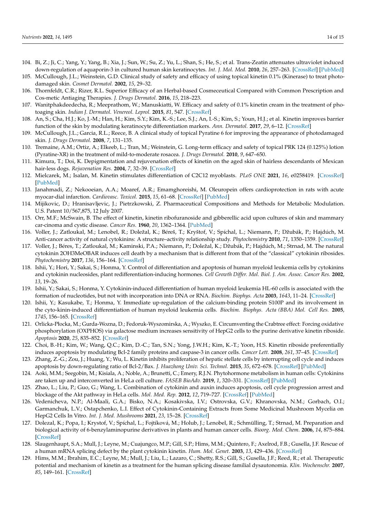- <span id="page-14-0"></span>104. Bi, Z.; Ji, C.; Yang, Y.; Yang, B.; Xia, J.; Sun, W.; Su, Z.; Yu, L.; Shan, S.; He, S.; et al. Trans-Zeatin attenuates ultraviolet induced down-regulation of aquaporin-3 in cultured human skin keratinocytes. *Int. J. Mol. Med.* **2010**, *26*, 257–263. [\[CrossRef\]](http://doi.org/10.3892/ijmm_00000460) [\[PubMed\]](http://www.ncbi.nlm.nih.gov/pubmed/20596606)
- <span id="page-14-1"></span>105. McCullough, J.L.; Weinstein, G.D. Clinical study of safety and efficacy of using topical kinetin 0.1% (Kinerase) to treat photodamaged skin. *Cosmet Dermatol.* **2002**, *15*, 29–32.
- 106. Thornfeldt, C.R.; Rizer, R.L. Superior Efficacy of an Herbal-based Cosmeceutical Compared with Common Prescription and Cos-metic Antiaging Therapies. *J. Drugs Dermatol.* **2016**, *15*, 218–223.
- 107. Wanitphakdeedecha, R.; Meeprathom, W.; Manuskiatti, W. Efficacy and safety of 0.1% kinetin cream in the treatment of photoaging skin. *Indian J. Dermatol. Venereol. Leprol.* **2015**, *81*, 547. [\[CrossRef\]](http://doi.org/10.4103/0378-6323.157446)
- 108. An, S.; Cha, H.J.; Ko, J.-M.; Han, H.; Kim, S.Y.; Kim, K.-S.; Lee, S.J.; An, I.-S.; Kim, S.; Youn, H.J.; et al. Kinetin improves barrier function of the skin by modulating keratinocyte differentiation markers. *Ann. Dermatol.* **2017**, *29*, 6–12. [\[CrossRef\]](http://doi.org/10.5021/ad.2017.29.1.6)
- <span id="page-14-2"></span>109. McCullough, J.L.; Garcia, R.L.; Reece, B. A clinical study of topical Pyratine 6 for improving the appearance of photodamaged skin. *J. Drugs Dermatol.* **2008**, *7*, 131–135.
- <span id="page-14-3"></span>110. Tremaine, A.M.; Ortiz, A.; Elkeeb, L.; Tran, M.; Weinstein, G. Long-term efficacy and safety of topical PRK 124 (0.125%) lotion (Pyratine-XR) in the treatment of mild-to-moderate rosacea. *J. Drugs Dermatol.* **2010**, *9*, 647–650.
- <span id="page-14-4"></span>111. Kimura, T.; Doi, K. Depigmentation and rejuvenation effects of kinetin on the aged skin of hairless descendants of Mexican hair-less dogs. *Rejuvenation Res.* **2004**, *7*, 32–39. [\[CrossRef\]](http://doi.org/10.1089/154916804323105062)
- <span id="page-14-5"></span>112. Mielcarek, M.; Isalan, M. Kinetin stimulates differentiation of C2C12 myoblasts. *PLoS ONE* **2021**, *16*, e0258419. [\[CrossRef\]](http://doi.org/10.1371/journal.pone.0258419) [\[PubMed\]](http://www.ncbi.nlm.nih.gov/pubmed/34644361)
- <span id="page-14-6"></span>113. Janahmadi, Z.; Nekooeian, A.A.; Moaref, A.R.; Emamghoreishi, M. Oleuropein offers cardioprotection in rats with acute myocar-dial infarction. *Cardiovasc. Toxicol.* **2015**, *15*, 61–68. [\[CrossRef\]](http://doi.org/10.1007/s12012-014-9271-1) [\[PubMed\]](http://www.ncbi.nlm.nih.gov/pubmed/25119867)
- <span id="page-14-7"></span>114. Mijikovic, D.; Hranisavljevic, J.; Pietrzkowski, Z. Pharmaceutical Compositions and Methods for Metabolic Modulation. U.S. Patent 10/567,875, 12 July 2007.
- <span id="page-14-8"></span>115. Orr, M.F.; McSwain, B. The effect of kinetin, kinetin ribofuranoside and gibberellic acid upon cultures of skin and mammary car-cinoma and cystic disease. *Cancer Res.* **1960**, *20*, 1362–1364. [\[PubMed\]](http://www.ncbi.nlm.nih.gov/pubmed/13731278)
- <span id="page-14-9"></span>116. Voller, J.; Zatloukal, M.; Lenobel, R.; Doležal, K.; Béreš, T.; Kryštof, V.; Spíchal, L.; Niemann, P.; Džubák, P.; Hajdúch, M. Anti-cancer activity of natural cytokinins: A structure–activity relationship study. *Phytochemistry* **2010**, *71*, 1350–1359. [\[CrossRef\]](http://doi.org/10.1016/j.phytochem.2010.04.018)
- <span id="page-14-10"></span>117. Voller, J.; Béres, T.; Zatloukal, M.; Kaminski, P.A.; Niemann, P.; Doležal, K.; Džubák, P.; Hajdúch, M.; Strnad, M. The natural cytokinin 2OH3MeOBAR induces cell death by a mechanism that is different from that of the "classical" cytokinin ribosides. *Phytochemistry* **2017**, *136*, 156–164. [\[CrossRef\]](http://doi.org/10.1016/j.phytochem.2017.01.004)
- <span id="page-14-11"></span>118. Ishii, Y.; Hori, Y.; Sakai, S.; Honma, Y. Control of differentiation and apoptosis of human myeloid leukemia cells by cytokinins and cytokinin nucleosides, plant redifferentiation-inducing hormones. *Cell Growth Differ. Mol. Biol. J. Am. Assoc. Cancer Res.* **2002**, *13*, 19–26.
- <span id="page-14-12"></span>119. Ishii, Y.; Sakai, S.; Honma, Y. Cytokinin-induced differentiation of human myeloid leukemia HL-60 cells is associated with the formation of nucleotides, but not with incorporation into DNA or RNA. *Biochim. Biophys. Acta* **2003**, *1643*, 11–24. [\[CrossRef\]](http://doi.org/10.1016/j.bbamcr.2003.08.004)
- <span id="page-14-13"></span>120. Ishii, Y.; Kasukabe, T.; Honma, Y. Immediate up-regulation of the calcium-binding protein S100P and its involvement in the cyto-kinin-induced differentiation of human myeloid leukemia cells. *Biochim. Biophys. Acta (BBA) Mol. Cell Res.* **2005**, *1745*, 156–165. [\[CrossRef\]](http://doi.org/10.1016/j.bbamcr.2005.01.005)
- <span id="page-14-14"></span>121. Orlicka-Płocka, M.; Gurda-Wozna, D.; Fedoruk-Wyszomirska, A.; Wyszko, E. Circumventing the Crabtree effect: Forcing oxidative phosphorylation (OXPHOS) via galactose medium increases sensitivity of HepG2 cells to the purine derivative kinetin riboside. *Apoptosis* **2020**, *25*, 835–852. [\[CrossRef\]](http://doi.org/10.1007/s10495-020-01637-x)
- <span id="page-14-15"></span>122. Choi, B.-H.; Kim, W.; Wang, Q.C.; Kim, D.-C.; Tan, S.N.; Yong, J.W.H.; Kim, K.-T.; Yoon, H.S. Kinetin riboside preferentially induces apoptosis by modulating Bcl-2 family proteins and caspase-3 in cancer cells. *Cancer Lett.* **2008**, *261*, 37–45. [\[CrossRef\]](http://doi.org/10.1016/j.canlet.2007.11.014)
- <span id="page-14-16"></span>123. Zhang, Z.-G.; Zou, J.; Huang, Y.; Wu, L. Kinetin inhibits proliferation of hepatic stellate cells by interrupting cell cycle and induces apoptosis by down-regulating ratio of Bcl-2/Bax. *J. Huazhong Univ. Sci. Technol.* **2015**, *35*, 672–678. [\[CrossRef\]](http://doi.org/10.1007/s11596-015-1488-0) [\[PubMed\]](http://www.ncbi.nlm.nih.gov/pubmed/26489620)
- <span id="page-14-17"></span>124. Aoki, M.M.; Seegobin, M.; Kisiala, A.; Noble, A.; Brunetti, C.; Emery, R.J.N. Phytohormone metabolism in human cells: Cytokinins are taken up and interconverted in HeLa cell culture. *FASEB BioAdv.* **2019**, *1*, 320–331. [\[CrossRef\]](http://doi.org/10.1096/fba.2018-00032) [\[PubMed\]](http://www.ncbi.nlm.nih.gov/pubmed/32123835)
- <span id="page-14-18"></span>125. Zhao, L.; Liu, P.; Guo, G.; Wang, L. Combination of cytokinin and auxin induces apoptosis, cell cycle progression arrest and blockage of the Akt pathway in HeLa cells. *Mol. Med. Rep.* **2012**, *12*, 719–727. [\[CrossRef\]](http://doi.org/10.3892/mmr.2015.3420) [\[PubMed\]](http://www.ncbi.nlm.nih.gov/pubmed/25738331)
- <span id="page-14-19"></span>126. Vedenicheva, N.P.; Al-Maali, G.A.; Bisko, N.A.; Kosakivska, I.V.; Ostrovska, G.V.; Khranovska, N.M.; Gorbach, O.I.; Garmanchuk, L.V.; Ostapchenko, L.I. Effect of Cytokinin-Containing Extracts from Some Medicinal Mushroom Mycelia on HepG2 Cells In Vitro. *Int. J. Med. Mushrooms* **2021**, *23*, 15–28. [\[CrossRef\]](http://doi.org/10.1615/IntJMedMushrooms.2021037656)
- <span id="page-14-20"></span>127. Dolezal, K.; Popa, I.; Krystof, V.; Spíchal, L.; Fojtíková, M.; Holub, J.; Lenobel, R.; Schmülling, T.; Strnad, M. Preparation and biological activity of 6-benzylaminopurine derivatives in plants and human cancer cells. *Bioorg. Med. Chem.* **2006**, *14*, 875–884. [\[CrossRef\]](http://doi.org/10.1016/j.bmc.2005.09.004)
- <span id="page-14-21"></span>128. Slaugenhaupt, S.A.; Mull, J.; Leyne, M.; Cuajungco, M.P.; Gill, S.P.; Hims, M.M.; Quintero, F.; Axelrod, F.B.; Gusella, J.F. Rescue of a human mRNA splicing defect by the plant cytokinin kinetin. *Hum. Mol. Genet.* **2003**, *13*, 429–436. [\[CrossRef\]](http://doi.org/10.1093/hmg/ddh046)
- <span id="page-14-22"></span>129. Hims, M.M.; Ibrahim, E.C.; Leyne, M.; Mull, J.; Liu, L.; Lazaro, C.; Shetty, R.S.; Gill, S.; Gusella, J.F.; Reed, R.; et al. Therapeutic potential and mechanism of kinetin as a treatment for the human splicing disease familial dysautonomia. *Klin. Wochenschr.* **2007**, *85*, 149–161. [\[CrossRef\]](http://doi.org/10.1007/s00109-006-0137-2)